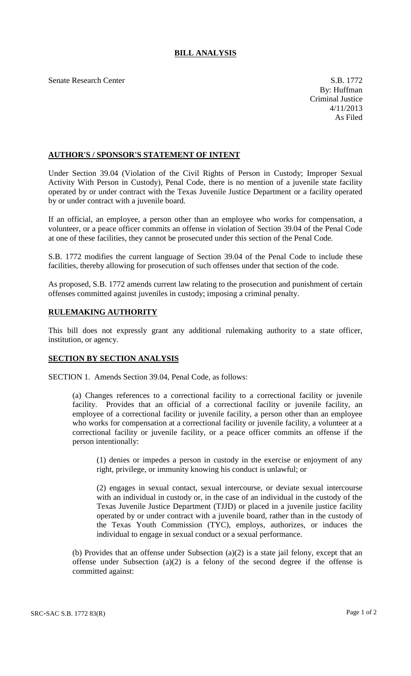## **BILL ANALYSIS**

Senate Research Center S.B. 1772

## **AUTHOR'S / SPONSOR'S STATEMENT OF INTENT**

Under Section 39.04 (Violation of the Civil Rights of Person in Custody; Improper Sexual Activity With Person in Custody), Penal Code, there is no mention of a juvenile state facility operated by or under contract with the Texas Juvenile Justice Department or a facility operated by or under contract with a juvenile board.

If an official, an employee, a person other than an employee who works for compensation, a volunteer, or a peace officer commits an offense in violation of Section 39.04 of the Penal Code at one of these facilities, they cannot be prosecuted under this section of the Penal Code.

S.B. 1772 modifies the current language of Section 39.04 of the Penal Code to include these facilities, thereby allowing for prosecution of such offenses under that section of the code.

As proposed, S.B. 1772 amends current law relating to the prosecution and punishment of certain offenses committed against juveniles in custody; imposing a criminal penalty.

## **RULEMAKING AUTHORITY**

This bill does not expressly grant any additional rulemaking authority to a state officer, institution, or agency.

## **SECTION BY SECTION ANALYSIS**

SECTION 1. Amends Section 39.04, Penal Code, as follows:

(a) Changes references to a correctional facility to a correctional facility or juvenile facility. Provides that an official of a correctional facility or juvenile facility, an employee of a correctional facility or juvenile facility, a person other than an employee who works for compensation at a correctional facility or juvenile facility, a volunteer at a correctional facility or juvenile facility, or a peace officer commits an offense if the person intentionally:

(1) denies or impedes a person in custody in the exercise or enjoyment of any right, privilege, or immunity knowing his conduct is unlawful; or

(2) engages in sexual contact, sexual intercourse, or deviate sexual intercourse with an individual in custody or, in the case of an individual in the custody of the Texas Juvenile Justice Department (TJJD) or placed in a juvenile justice facility operated by or under contract with a juvenile board, rather than in the custody of the Texas Youth Commission (TYC), employs, authorizes, or induces the individual to engage in sexual conduct or a sexual performance.

(b) Provides that an offense under Subsection (a)(2) is a state jail felony, except that an offense under Subsection (a)(2) is a felony of the second degree if the offense is committed against: